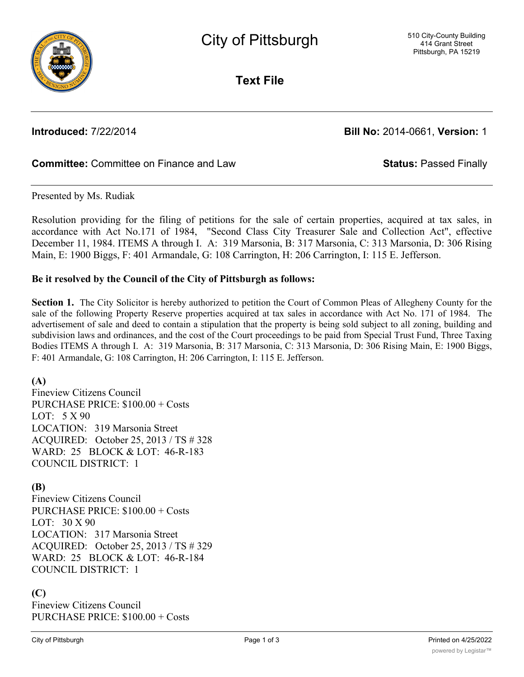

**Text File**

**Introduced:** 7/22/2014 **Bill No:** 2014-0661, **Version:** 1

## **Committee:** Committee on Finance and Law **Status:** Passed Finally

Presented by Ms. Rudiak

Resolution providing for the filing of petitions for the sale of certain properties, acquired at tax sales, in accordance with Act No.171 of 1984, "Second Class City Treasurer Sale and Collection Act", effective December 11, 1984. ITEMS A through I. A: 319 Marsonia, B: 317 Marsonia, C: 313 Marsonia, D: 306 Rising Main, E: 1900 Biggs, F: 401 Armandale, G: 108 Carrington, H: 206 Carrington, I: 115 E. Jefferson.

#### **Be it resolved by the Council of the City of Pittsburgh as follows:**

**Section 1.** The City Solicitor is hereby authorized to petition the Court of Common Pleas of Allegheny County for the sale of the following Property Reserve properties acquired at tax sales in accordance with Act No. 171 of 1984. The advertisement of sale and deed to contain a stipulation that the property is being sold subject to all zoning, building and subdivision laws and ordinances, and the cost of the Court proceedings to be paid from Special Trust Fund, Three Taxing Bodies ITEMS A through I. A: 319 Marsonia, B: 317 Marsonia, C: 313 Marsonia, D: 306 Rising Main, E: 1900 Biggs, F: 401 Armandale, G: 108 Carrington, H: 206 Carrington, I: 115 E. Jefferson.

## **(A)**

Fineview Citizens Council PURCHASE PRICE: \$100.00 + Costs LOT: 5 X 90 LOCATION: 319 Marsonia Street ACQUIRED: October 25, 2013 / TS # 328 WARD: 25 BLOCK & LOT: 46-R-183 COUNCIL DISTRICT: 1

## **(B)**

Fineview Citizens Council PURCHASE PRICE: \$100.00 + Costs LOT: 30 X 90 LOCATION: 317 Marsonia Street ACQUIRED: October 25, 2013 / TS # 329 WARD: 25 BLOCK & LOT: 46-R-184 COUNCIL DISTRICT: 1

## **(C)**

Fineview Citizens Council PURCHASE PRICE: \$100.00 + Costs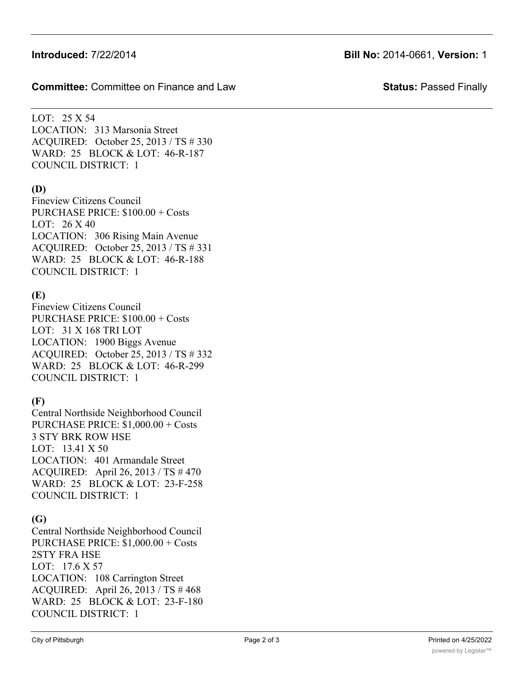## **Introduced:** 7/22/2014 **Bill No:** 2014-0661, **Version:** 1

**Committee:** Committee on Finance and Law **Status:** Passed Finally

LOT: 25 X 54 LOCATION: 313 Marsonia Street ACQUIRED: October 25, 2013 / TS # 330 WARD: 25 BLOCK & LOT: 46-R-187 COUNCIL DISTRICT: 1

#### **(D)**

Fineview Citizens Council PURCHASE PRICE: \$100.00 + Costs LOT: 26 X 40 LOCATION: 306 Rising Main Avenue ACQUIRED: October 25, 2013 / TS # 331 WARD: 25 BLOCK & LOT: 46-R-188 COUNCIL DISTRICT: 1

## **(E)**

Fineview Citizens Council PURCHASE PRICE: \$100.00 + Costs LOT: 31 X 168 TRI LOT LOCATION: 1900 Biggs Avenue ACQUIRED: October 25, 2013 / TS # 332 WARD: 25 BLOCK & LOT: 46-R-299 COUNCIL DISTRICT: 1

# **(F)**

Central Northside Neighborhood Council PURCHASE PRICE: \$1,000.00 + Costs 3 STY BRK ROW HSE LOT: 13.41 X 50 LOCATION: 401 Armandale Street ACQUIRED: April 26, 2013 / TS # 470 WARD: 25 BLOCK & LOT: 23-F-258 COUNCIL DISTRICT: 1

# **(G)**

Central Northside Neighborhood Council PURCHASE PRICE: \$1,000.00 + Costs 2STY FRA HSE LOT: 17.6 X 57 LOCATION: 108 Carrington Street ACQUIRED: April 26, 2013 / TS # 468 WARD: 25 BLOCK & LOT: 23-F-180 COUNCIL DISTRICT: 1